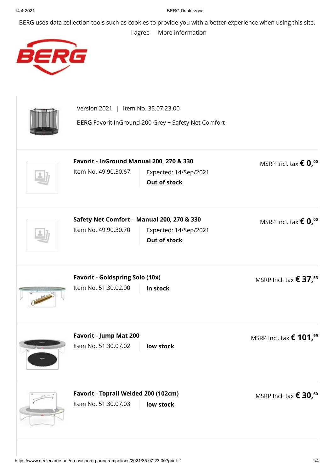## 14.4.2021 BERG Dealerzone

BERG uses data collection tools such as cookies to provide you with a better experience when using this site.

## [I agree](https://www.dealerzone.net/en-us/spare-parts/trampolines/2021/35.07.23.00?print=1) [More information](https://www.dealerzone.net/en-us/privacy-policy/)



| Version 2021<br>  Item No. 35.07.23.00<br>BERG Favorit InGround 200 Grey + Safety Net Comfort |                                              |                                              |  |
|-----------------------------------------------------------------------------------------------|----------------------------------------------|----------------------------------------------|--|
| Favorit - InGround Manual 200, 270 & 330<br>Item No. 49.90.30.67                              | Expected: 14/Sep/2021<br>Out of stock        | MSRP Incl. tax $\epsilon$ 0, <sup>00</sup>   |  |
| Safety Net Comfort - Manual 200, 270 & 330<br>Item No. 49.90.30.70                            | Expected: 14/Sep/2021<br><b>Out of stock</b> | MSRP Incl. tax $\epsilon$ 0, <sup>00</sup>   |  |
| <b>Favorit - Goldspring Solo (10x)</b><br>Item No. 51.30.02.00                                | in stock                                     | MSRP Incl. tax $\epsilon$ 37, <sup>53</sup>  |  |
| Favorit - Jump Mat 200<br>Item No. 51.30.07.02                                                | low stock                                    | MSRP Incl. tax $\epsilon$ 101, <sup>99</sup> |  |
| Favorit - Toprail Welded 200 (102cm)<br>Item No. 51.30.07.03                                  | low stock                                    | MSRP Incl. tax $\epsilon$ 30, <sup>60</sup>  |  |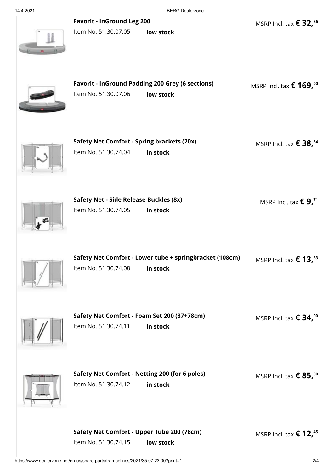|  | 14.4.2021 |  |  |
|--|-----------|--|--|
|  |           |  |  |

BERG Dealerzone

MSRP Incl. tax **€ 32, 86**

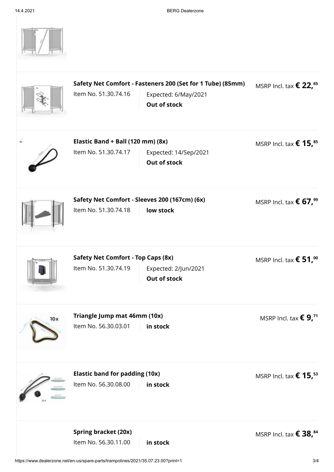|     | Safety Net Comfort - Fasteners 200 (Set for 1 Tube) (85mm)<br>Item No. 51.30.74.16<br>Expected: 6/May/2021<br><b>Out of stock</b> | MSRP Incl. tax $\epsilon$ 22, <sup>65</sup> |
|-----|-----------------------------------------------------------------------------------------------------------------------------------|---------------------------------------------|
|     | Elastic Band + Ball (120 mm) (8x)<br>Item No. 51.30.74.17<br>Expected: 14/Sep/2021<br><b>Out of stock</b>                         | MSRP Incl. tax $\epsilon$ 15, <sup>85</sup> |
|     | Safety Net Comfort - Sleeves 200 (167cm) (6x)<br>Item No. 51.30.74.18<br>low stock                                                | MSRP Incl. tax $\epsilon$ 67, <sup>99</sup> |
|     | <b>Safety Net Comfort - Top Caps (8x)</b><br>Item No. 51.30.74.19<br>Expected: 2/Jun/2021<br>Out of stock                         | MSRP Incl. tax $\epsilon$ 51, <sup>00</sup> |
| 10x | Triangle Jump mat 46mm (10x)<br>Item No. 56.30.03.01<br>in stock                                                                  | MSRP Incl. tax $\epsilon$ 9, <sup>71</sup>  |
|     | <b>Elastic band for padding (10x)</b><br>Item No. 56.30.08.00<br>in stock                                                         | MSRP Incl. tax $\epsilon$ 15, <sup>53</sup> |
|     | <b>Spring bracket (20x)</b><br>Item No. 56.30.11.00<br>in stock                                                                   | MSRP Incl. tax $\epsilon$ 38, <sup>84</sup> |

https://www.dealerzone.net/en-us/spare-parts/trampolines/2021/35.07.23.00?print=1 3/4